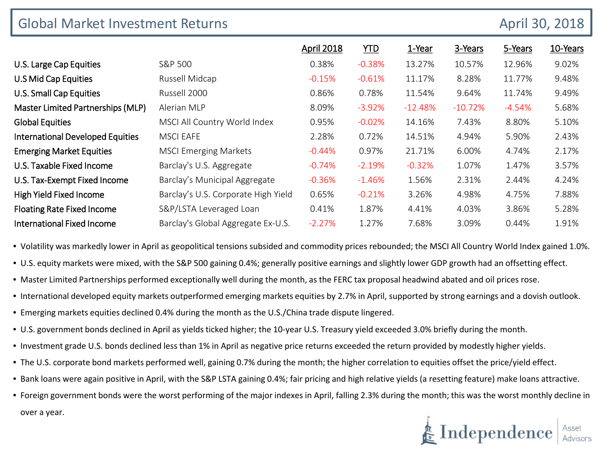| <b>Global Market Investment Returns</b> |                                     |                   |          |           |           | April 30, 2018 |          |
|-----------------------------------------|-------------------------------------|-------------------|----------|-----------|-----------|----------------|----------|
|                                         |                                     | <b>April 2018</b> | YID      | 1-Year    | 3-Years   | 5-Years        | 10-Years |
| U.S. Large Cap Equities                 | S&P 500                             | 0.38%             | $-0.38%$ | 13.27%    | 10.57%    | 12.96%         | 9.02%    |
| U.S Mid Cap Equities                    | Russell Midcap                      | $-0.15%$          | $-0.61%$ | 11.17%    | 8.28%     | 11.77%         | 9.48%    |
| U.S. Small Cap Equities                 | Russell 2000                        | 0.86%             | 0.78%    | 11.54%    | 9.64%     | 11.74%         | 9.49%    |
| Master Limited Partnerships (MLP)       | Alerian MLP                         | 8.09%             | $-3.92%$ | $-12.48%$ | $-10.72%$ | $-4.54%$       | 5.68%    |
| <b>Global Equities</b>                  | MSCI All Country World Index        | 0.95%             | $-0.02%$ | 14.16%    | 7.43%     | 8.80%          | 5.10%    |
| <b>International Developed Equities</b> | <b>MSCI EAFE</b>                    | 2.28%             | 0.72%    | 14.51%    | 4.94%     | 5.90%          | 2.43%    |
| <b>Emerging Market Equities</b>         | <b>MSCI Emerging Markets</b>        | $-0.44%$          | 0.97%    | 21.71%    | 6.00%     | 4.74%          | 2.17%    |
| U.S. Taxable Fixed Income               | Barclay's U.S. Aggregate            | $-0.74%$          | $-2.19%$ | $-0.32%$  | 1.07%     | 1.47%          | 3.57%    |
| U.S. Tax-Exempt Fixed Income            | Barclay's Municipal Aggregate       | $-0.36%$          | $-1.46%$ | 1.56%     | 2.31%     | 2.44%          | 4.24%    |
| High Yield Fixed Income                 | Barclay's U.S. Corporate High Yield | 0.65%             | $-0.21%$ | 3.26%     | 4.98%     | 4.75%          | 7.88%    |
| <b>Floating Rate Fixed Income</b>       | S&P/LSTA Leveraged Loan             | 0.41%             | 1.87%    | 4.41%     | 4.03%     | 3.86%          | 5.28%    |
| <b>International Fixed Income</b>       | Barclay's Global Aggregate Ex-U.S.  | $-2.27%$          | 1.27%    | 7.68%     | 3.09%     | 0.44%          | 1.91%    |

• Volatility was markedly lower in April as geopolitical tensions subsided and commodity prices rebounded; the MSCI All Country World Index gained 1.0%.

- U.S. equity markets were mixed, with the S&P 500 gaining 0.4%; generally positive earnings and slightly lower GDP growth had an offsetting effect.
- Master Limited Partnerships performed exceptionally well during the month, as the FERC tax proposal headwind abated and oil prices rose.
- International developed equity markets outperformed emerging markets equities by 2.7% in April, supported by strong earnings and a dovish outlook.
- Emerging markets equities declined 0.4% during the month as the U.S./China trade dispute lingered.
- U.S. government bonds declined in April as yields ticked higher; the 10-year U.S. Treasury yield exceeded 3.0% briefly during the month.
- Investment grade U.S. bonds declined less than 1% in April as negative price returns exceeded the return provided by modestly higher yields.
- The U.S. corporate bond markets performed well, gaining 0.7% during the month; the higher correlation to equities offset the price/yield effect.
- Bank loans were again positive in April, with the S&P LSTA gaining 0.4%; fair pricing and high relative yields (a resetting feature) make loans attractive.
- Foreign government bonds were the worst performing of the major indexes in April, falling 2.3% during the month; this was the worst monthly decline in over a year.